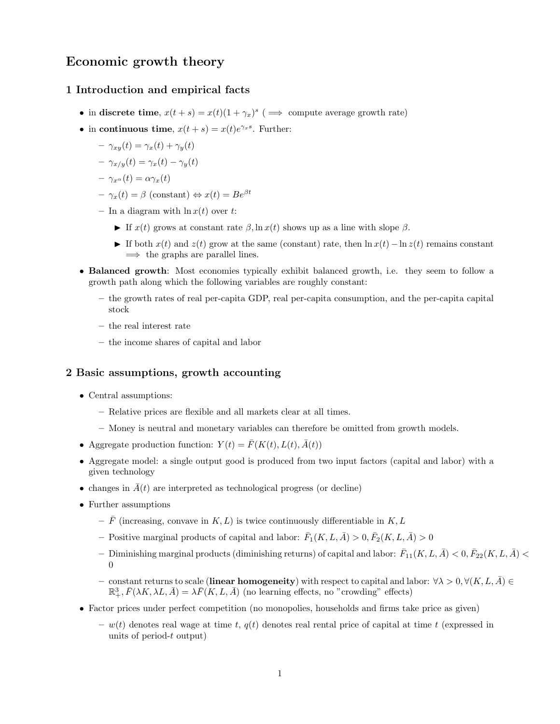# Economic growth theory

# 1 Introduction and empirical facts

- in discrete time,  $x(t + s) = x(t)(1 + \gamma_x)^s$  ( $\implies$  compute average growth rate)
- in continuous time,  $x(t + s) = x(t)e^{\gamma_x s}$ . Further:
	- $-\gamma_{xy}(t) = \gamma_x(t) + \gamma_y(t)$
	- $-\gamma_{x/y}(t) = \gamma_x(t) \gamma_y(t)$

$$
- \gamma_{x^{\alpha}}(t) = \alpha \gamma_x(t)
$$

- $-\gamma_x(t) = \beta$  (constant)  $\Leftrightarrow x(t) = Be^{\beta t}$
- In a diagram with  $\ln x(t)$  over t:
	- If  $x(t)$  grows at constant rate  $\beta$ ,  $\ln x(t)$  shows up as a line with slope  $\beta$ .
	- If both  $x(t)$  and  $z(t)$  grow at the same (constant) rate, then  $\ln x(t) \ln z(t)$  remains constant  $\implies$  the graphs are parallel lines.
- Balanced growth: Most economies typically exhibit balanced growth, i.e. they seem to follow a growth path along which the following variables are roughly constant:
	- the growth rates of real per-capita GDP, real per-capita consumption, and the per-capita capital stock
	- the real interest rate
	- the income shares of capital and labor

### 2 Basic assumptions, growth accounting

- Central assumptions:
	- Relative prices are flexible and all markets clear at all times.
	- Money is neutral and monetary variables can therefore be omitted from growth models.
- Aggregate production function:  $Y(t) = \overline{F}(K(t), L(t), \overline{A}(t))$
- Aggregate model: a single output good is produced from two input factors (capital and labor) with a given technology
- changes in  $\bar{A}(t)$  are interpreted as technological progress (or decline)
- Further assumptions
	- $\bar{F}$  (increasing, convave in K, L) is twice continuously differentiable in K, L
	- Positive marginal products of capital and labor:  $\bar{F}_1(K, L, \bar{A}) > 0$ ,  $\bar{F}_2(K, L, \bar{A}) > 0$
	- $-$  Diminishing marginal products (diminishing returns) of capital and labor:  $\bar{F}_{11}(K,L,\bar{A}) < 0, \bar{F}_{22}(K,L,\bar{A}) < 0$ 0
	- constant returns to scale (linear homogeneity) with respect to capital and labor:  $\forall \lambda > 0, \forall (K, L, \overline{A}) \in$  $\mathbb{R}^3_+$ ,  $\bar{F}(\lambda K, \lambda L, \bar{A}) = \lambda \bar{F}(K, L, \bar{A})$  (no learning effects, no "crowding" effects)
- Factor prices under perfect competition (no monopolies, households and firms take price as given)
	- $w(t)$  denotes real wage at time t,  $q(t)$  denotes real rental price of capital at time t (expressed in units of period-t output)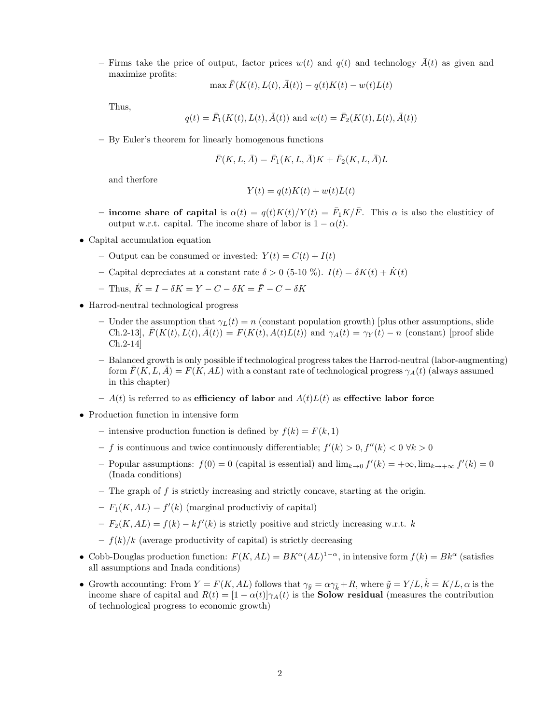– Firms take the price of output, factor prices  $w(t)$  and  $q(t)$  and technology  $\bar{A}(t)$  as given and maximize profits:

$$
\max \bar{F}(K(t), L(t), \bar{A}(t)) - q(t)K(t) - w(t)L(t)
$$

Thus,

$$
q(t) = \bar{F}_1(K(t), L(t), \bar{A}(t))
$$
 and  $w(t) = \bar{F}_2(K(t), L(t), \bar{A}(t))$ 

– By Euler's theorem for linearly homogenous functions

$$
\bar{F}(K, L, \bar{A}) = \bar{F}_1(K, L, \bar{A})K + \bar{F}_2(K, L, \bar{A})L
$$

and therfore

$$
Y(t) = q(t)K(t) + w(t)L(t)
$$

- income share of capital is  $\alpha(t) = q(t)K(t)/Y(t) = \bar{F}_1K/\bar{F}$ . This  $\alpha$  is also the elastiticy of output w.r.t. capital. The income share of labor is  $1 - \alpha(t)$ .
- Capital accumulation equation
	- Output can be consumed or invested:  $Y(t) = C(t) + I(t)$
	- Capital depreciates at a constant rate  $\delta > 0$  (5-10 %).  $I(t) = \delta K(t) + \dot{K}(t)$
	- Thus,  $\dot{K} = I \delta K = Y C \delta K = \bar{F} C \delta K$
- Harrod-neutral technological progress
	- Under the assumption that  $\gamma_L(t) = n$  (constant population growth) [plus other assumptions, slide Ch.2-13],  $F(K(t), L(t), \overline{A}(t)) = F(K(t), A(t)L(t))$  and  $\gamma_A(t) = \gamma_Y(t) - n$  (constant) [proof slide Ch.2-14]
	- Balanced growth is only possible if technological progress takes the Harrod-neutral (labor-augmenting) form  $\bar{F}(K, L, \bar{A}) = F(K, AL)$  with a constant rate of technological progress  $\gamma_A(t)$  (always assumed in this chapter)
	- $A(t)$  is referred to as efficiency of labor and  $A(t)L(t)$  as effective labor force
- Production function in intensive form
	- intensive production function is defined by  $f(k) = F(k, 1)$
	- f is continuous and twice continuously differentiable;  $f'(k) > 0, f''(k) < 0 \forall k > 0$
	- Popular assumptions:  $f(0) = 0$  (capital is essential) and  $\lim_{k\to 0} f'(k) = +\infty$ ,  $\lim_{k\to +\infty} f'(k) = 0$ (Inada conditions)
	- $-$  The graph of  $f$  is strictly increasing and strictly concave, starting at the origin.
	- $-F_1(K, AL) = f'(k)$  (marginal productiviy of capital)
	- $-F_2(K, AL) = f(k) kf'(k)$  is strictly positive and strictly increasing w.r.t. k
	- $f(k)/k$  (average productivity of capital) is strictly decreasing
- Cobb-Douglas production function:  $F(K, AL) = BK^{\alpha}(AL)^{1-\alpha}$ , in intensive form  $f(k) = Bk^{\alpha}$  (satisfies all assumptions and Inada conditions)
- Growth accounting: From  $Y = F(K, AL)$  follows that  $\gamma_{\tilde{y}} = \alpha \gamma_{\tilde{k}} + R$ , where  $\tilde{y} = Y/L, \tilde{k} = K/L, \alpha$  is the income share of capital and  $R(t) = [1 - \alpha(t)]\gamma_A(t)$  is the **Solow residual** (measures the contribution of technological progress to economic growth)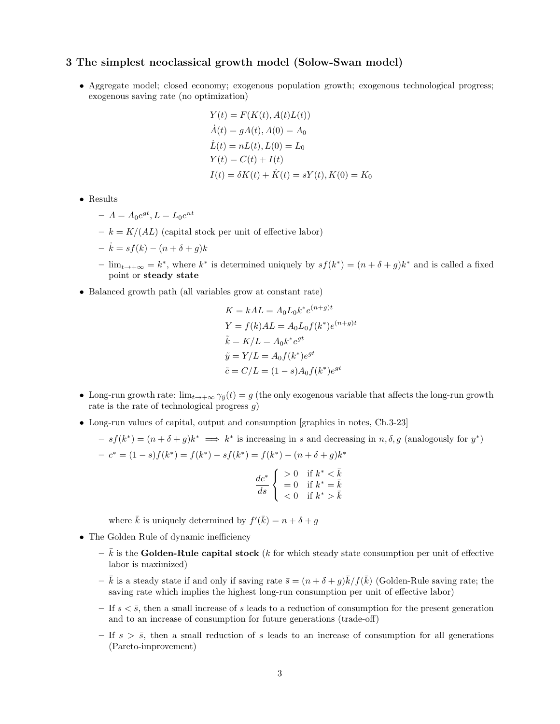# 3 The simplest neoclassical growth model (Solow-Swan model)

• Aggregate model; closed economy; exogenous population growth; exogenous technological progress; exogenous saving rate (no optimization)

$$
Y(t) = F(K(t), A(t)L(t))
$$
  
\n
$$
\dot{A}(t) = gA(t), A(0) = A_0
$$
  
\n
$$
\dot{L}(t) = nL(t), L(0) = L_0
$$
  
\n
$$
Y(t) = C(t) + I(t)
$$
  
\n
$$
I(t) = \delta K(t) + \dot{K}(t) = sY(t), K(0) = K_0
$$

- Results
	- $-A = A_0 e^{gt}, L = L_0 e^{nt}$
	- $-k = K/(AL)$  (capital stock per unit of effective labor)
	- $-\dot{k} = sf(k) (n+\delta+q)k$
	- $\lim_{t \to +\infty}$  = k<sup>\*</sup>, where k<sup>\*</sup> is determined uniquely by  $sf(k<sup>*</sup>) = (n + \delta + g)k<sup>*</sup>$  and is called a fixed point or steady state

 $\lambda$  (n  $\lambda$ )

∗ )

• Balanced growth path (all variables grow at constant rate)

$$
K = kAL = A_0L_0k^*e^{(n+g)t}
$$
  
\n
$$
Y = f(k)AL = A_0L_0f(k^*)e^{(n+g)t}
$$
  
\n
$$
\tilde{k} = K/L = A_0k^*e^{gt}
$$
  
\n
$$
\tilde{y} = Y/L = A_0f(k^*)e^{gt}
$$
  
\n
$$
\tilde{c} = C/L = (1 - s)A_0f(k^*)e^{gt}
$$

- Long-run growth rate:  $\lim_{t\to+\infty}\gamma_{\tilde{y}}(t)=g$  (the only exogenous variable that affects the long-run growth rate is the rate of technological progress  $q$ )
- Long-run values of capital, output and consumption [graphics in notes, Ch.3-23]

$$
-sf(k^*) = (n+\delta+g)k^* \implies k^*
$$
 is increasing in *s* and decreasing in *n*,  $\delta$ , *g* (analogously for *y*  

$$
-c^* = (1-s)f(k^*) = f(k^*) - sf(k^*) = f(k^*) - (n+\delta+g)k^*
$$

$$
\frac{dc^*}{ds} \begin{cases} >0 & \text{if } k^* < \bar{k} \\ =0 & \text{if } k^* = \bar{k} \\ <0 & \text{if } k^* > \bar{k} \end{cases}
$$

where  $\bar{k}$  is uniquely determined by  $f'(\bar{k}) = n + \delta + g$ 

- The Golden Rule of dynamic inefficiency
	- $-\bar{k}$  is the Golden-Rule capital stock (k for which steady state consumption per unit of effective labor is maximized)
	- $-\bar{k}$  is a steady state if and only if saving rate  $\bar{s} = (n + \delta + g)\bar{k}/f(\bar{k})$  (Golden-Rule saving rate; the saving rate which implies the highest long-run consumption per unit of effective labor)
	- If  $s < \overline{s}$ , then a small increase of s leads to a reduction of consumption for the present generation and to an increase of consumption for future generations (trade-off)
	- If  $s > \overline{s}$ , then a small reduction of s leads to an increase of consumption for all generations (Pareto-improvement)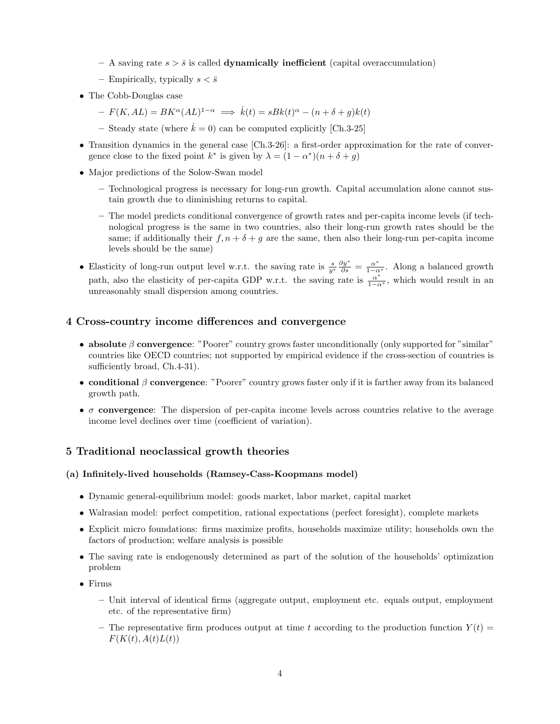- A saving rate  $s > \bar{s}$  is called **dynamically inefficient** (capital overaccumulation)
- Empirically, typically  $s < \bar{s}$
- The Cobb-Douglas case
	- $-F(K, AL) = BK^{\alpha}(AL)^{1-\alpha} \implies \dot{k}(t) = sBk(t)^{\alpha} (n+\delta+g)k(t)$
	- Steady state (where  $\dot{k} = 0$ ) can be computed explicitly [Ch.3-25]
- Transition dynamics in the general case [Ch.3-26]: a first-order approximation for the rate of convergence close to the fixed point  $k^*$  is given by  $\lambda = (1 - \alpha^*)(n + \delta + g)$
- Major predictions of the Solow-Swan model
	- Technological progress is necessary for long-run growth. Capital accumulation alone cannot sustain growth due to diminishing returns to capital.
	- The model predicts conditional convergence of growth rates and per-capita income levels (if technological progress is the same in two countries, also their long-run growth rates should be the same; if additionally their  $f, n + \delta + g$  are the same, then also their long-run per-capita income levels should be the same)
- Elasticity of long-run output level w.r.t. the saving rate is  $\frac{s}{y^*} \frac{\partial y^*}{\partial s} = \frac{\alpha^*}{1-\alpha^*}$ . Along a balanced growth path, also the elasticity of per-capita GDP w.r.t. the saving rate is  $\frac{\alpha^*}{1-\alpha^*}$ , which would result in an unreasonably small dispersion among countries.

# 4 Cross-country income differences and convergence

- absolute  $\beta$  convergence: "Poorer" country grows faster unconditionally (only supported for "similar" countries like OECD countries; not supported by empirical evidence if the cross-section of countries is sufficiently broad, Ch.4-31).
- conditional  $\beta$  convergence: "Poorer" country grows faster only if it is farther away from its balanced growth path.
- $\sigma$  convergence: The dispersion of per-capita income levels across countries relative to the average income level declines over time (coefficient of variation).

## 5 Traditional neoclassical growth theories

### (a) Infinitely-lived households (Ramsey-Cass-Koopmans model)

- Dynamic general-equilibrium model: goods market, labor market, capital market
- Walrasian model: perfect competition, rational expectations (perfect foresight), complete markets
- Explicit micro foundations: firms maximize profits, households maximize utility; households own the factors of production; welfare analysis is possible
- The saving rate is endogenously determined as part of the solution of the households' optimization problem
- Firms
	- Unit interval of identical firms (aggregate output, employment etc. equals output, employment etc. of the representative firm)
	- The representative firm produces output at time t according to the production function  $Y(t)$  =  $F(K(t), A(t)L(t))$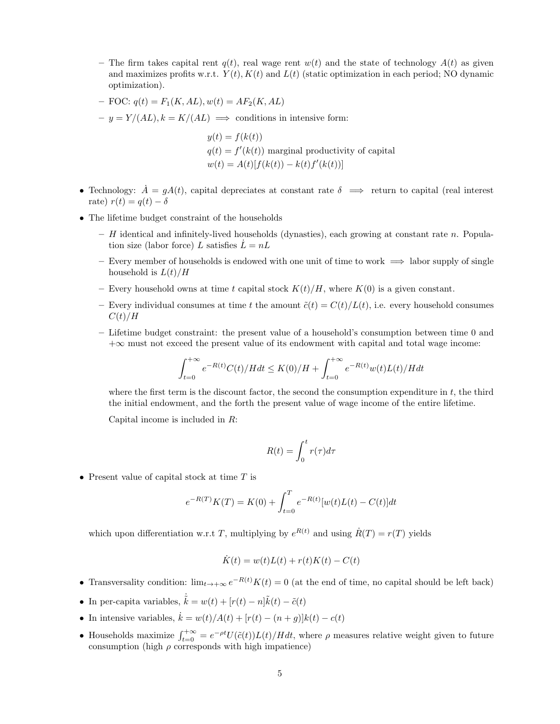- The firm takes capital rent  $q(t)$ , real wage rent  $w(t)$  and the state of technology  $A(t)$  as given and maximizes profits w.r.t.  $Y(t)$ ,  $K(t)$  and  $L(t)$  (static optimization in each period; NO dynamic optimization).
- FOC:  $q(t) = F_1(K, AL), w(t) = AF_2(K, AL)$
- $-y = Y/(AL), k = K/(AL) \implies$  conditions in intensive form:

 $y(t) = f(k(t))$  $q(t) = f'(k(t))$  marginal productivity of capital  $w(t) = A(t)[f(k(t)) - k(t)f'(k(t))]$ 

- Technology:  $\dot{A} = gA(t)$ , capital depreciates at constant rate  $\delta \implies$  return to capital (real interest rate)  $r(t) = q(t) - \delta$
- The lifetime budget constraint of the households
	- $-$  H identical and infinitely-lived households (dynasties), each growing at constant rate n. Population size (labor force) L satisfies  $L = nL$
	- Every member of households is endowed with one unit of time to work  $\implies$  labor supply of single household is  $L(t)/H$
	- Every household owns at time t capital stock  $K(t)/H$ , where  $K(0)$  is a given constant.
	- Every individual consumes at time t the amount  $\tilde{c}(t) = C(t)/L(t)$ , i.e. every household consumes  $C(t)/H$
	- Lifetime budget constraint: the present value of a household's consumption between time 0 and  $+\infty$  must not exceed the present value of its endowment with capital and total wage income:

$$
\int_{t=0}^{+\infty} e^{-R(t)} C(t) / H dt \le K(0) / H + \int_{t=0}^{+\infty} e^{-R(t)} w(t) L(t) / H dt
$$

where the first term is the discount factor, the second the consumption expenditure in  $t$ , the third the initial endowment, and the forth the present value of wage income of the entire lifetime.

Capital income is included in R:

$$
R(t) = \int_0^t r(\tau) d\tau
$$

• Present value of capital stock at time  $T$  is

$$
e^{-R(T)}K(T) = K(0) + \int_{t=0}^{T} e^{-R(t)}[w(t)L(t) - C(t)]dt
$$

which upon differentiation w.r.t T, multiplying by  $e^{R(t)}$  and using  $\dot{R}(T) = r(T)$  yields

$$
\dot{K}(t) = w(t)L(t) + r(t)K(t) - C(t)
$$

- Transversality condition:  $\lim_{t\to+\infty}e^{-R(t)}K(t)=0$  (at the end of time, no capital should be left back)
- In per-capita variables,  $\dot{\tilde{k}} = w(t) + [r(t) n]\tilde{k}(t) \tilde{c}(t)$
- In intensive variables,  $\dot{k} = w(t)/A(t) + [r(t) (n+q)]k(t) c(t)$
- Households maximize  $\int_{t=0}^{+\infty} = e^{-\rho t}U(\tilde{c}(t))L(t)/Hdt$ , where  $\rho$  measures relative weight given to future consumption (high  $\rho$  corresponds with high impatience)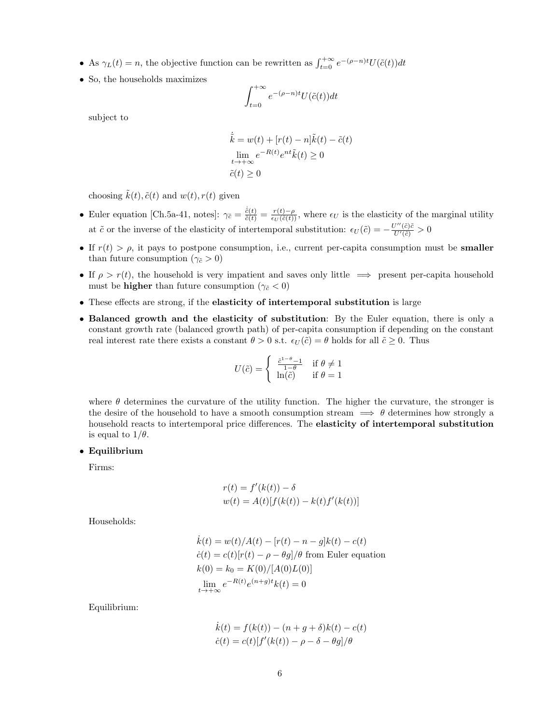- As  $\gamma_L(t) = n$ , the objective function can be rewritten as  $\int_{t=0}^{+\infty} e^{-(\rho n)t} U(\tilde{c}(t)) dt$
- So, the households maximizes

$$
\int_{t=0}^{+\infty} e^{-(\rho - n)t} U(\tilde{c}(t)) dt
$$

subject to

$$
\dot{\tilde{k}} = w(t) + [r(t) - n]\tilde{k}(t) - \tilde{c}(t)
$$

$$
\lim_{t \to +\infty} e^{-R(t)} e^{nt} \tilde{k}(t) \ge 0
$$

$$
\tilde{c}(t) \ge 0
$$

choosing  $\tilde{k}(t)$ ,  $\tilde{c}(t)$  and  $w(t)$ ,  $r(t)$  given

- Euler equation [Ch.5a-41, notes]:  $\gamma_{\tilde{c}} = \frac{\dot{\tilde{c}}(t)}{\tilde{c}(t)} = \frac{r(t)-\rho}{\epsilon_U(\tilde{c}(t))}$ , where  $\epsilon_U$  is the elasticity of the marginal utility at  $\tilde{c}$  or the inverse of the elasticity of intertemporal substitution:  $\epsilon_U(\tilde{c}) = -\frac{U''(\tilde{c})\tilde{c}}{U'(\tilde{c})} > 0$
- If  $r(t) > \rho$ , it pays to postpone consumption, i.e., current per-capita consumption must be **smaller** than future consumption ( $\gamma_{\tilde{c}} > 0$ )
- If  $\rho > r(t)$ , the household is very impatient and saves only little  $\implies$  present per-capita household must be **higher** than future consumption ( $\gamma_{\tilde{c}} < 0$ )
- These effects are strong, if the elasticity of intertemporal substitution is large
- Balanced growth and the elasticity of substitution: By the Euler equation, there is only a constant growth rate (balanced growth path) of per-capita consumption if depending on the constant real interest rate there exists a constant  $\theta > 0$  s.t.  $\epsilon_U(\tilde{c}) = \theta$  holds for all  $\tilde{c} \geq 0$ . Thus

$$
U(\tilde{c}) = \begin{cases} \frac{\tilde{c}^{1-\theta}-1}{1-\theta} & \text{if } \theta \neq 1\\ \ln(\tilde{c}) & \text{if } \theta = 1 \end{cases}
$$

where  $\theta$  determines the curvature of the utility function. The higher the curvature, the stronger is the desire of the household to have a smooth consumption stream  $\implies \theta$  determines how strongly a household reacts to intertemporal price differences. The elasticity of intertemporal substitution is equal to  $1/\theta$ .

### • Equilibrium

Firms:

$$
r(t) = f'(k(t)) - \delta
$$
  

$$
w(t) = A(t)[f(k(t)) - k(t)f'(k(t))]
$$

Households:

$$
\dot{k}(t) = w(t)/A(t) - [r(t) - n - g]k(t) - c(t)
$$
\n
$$
\dot{c}(t) = c(t)[r(t) - \rho - \theta g]/\theta
$$
 from Euler equation\n
$$
k(0) = k_0 = K(0)/[A(0)L(0)]
$$
\n
$$
\lim_{t \to +\infty} e^{-R(t)} e^{(n+g)t} k(t) = 0
$$

Equilibrium:

$$
\dot{k}(t) = f(k(t)) - (n + g + \delta)k(t) - c(t)
$$

$$
\dot{c}(t) = c(t)[f'(k(t)) - \rho - \delta - \theta g]/\theta
$$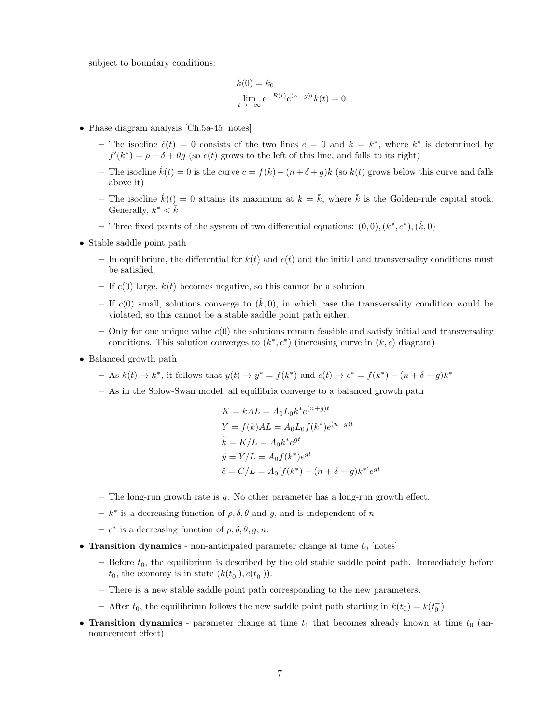subject to boundary conditions:

$$
k(0) = k_0
$$
  

$$
\lim_{t \to +\infty} e^{-R(t)} e^{(n+g)t} k(t) = 0
$$

- Phase diagram analysis [Ch.5a-45, notes]
	- The isocline  $\dot{c}(t) = 0$  consists of the two lines  $c = 0$  and  $k = k^*$ , where  $k^*$  is determined by  $f'(k^*) = \rho + \delta + \theta g$  (so  $c(t)$  grows to the left of this line, and falls to its right)
	- The isocline  $\dot{k}(t) = 0$  is the curve  $c = f(k) (n + \delta + g)k$  (so  $k(t)$  grows below this curve and falls above it)
	- The isocline  $\dot{k}(t) = 0$  attains its maximum at  $k = \bar{k}$ , where  $\bar{k}$  is the Golden-rule capital stock. Generally,  $k^* \leq \overline{k}$
	- Three fixed points of the system of two differential equations:  $(0,0)$ ,  $(k^*, c^*)$ ,  $(\hat{k},0)$
- Stable saddle point path
	- In equilibrium, the differential for  $k(t)$  and  $c(t)$  and the initial and transversality conditions must be satisfied.
	- If  $c(0)$  large,  $k(t)$  becomes negative, so this cannot be a solution
	- If  $c(0)$  small, solutions converge to  $(\hat{k},0)$ , in which case the transversality condition would be violated, so this cannot be a stable saddle point path either.
	- Only for one unique value  $c(0)$  the solutions remain feasible and satisfy initial and transversality conditions. This solution converges to  $(k^*, c^*)$  (increasing curve in  $(k, c)$  diagram)
- Balanced growth path
	- $-$  As  $k(t) \rightarrow k^*$ , it follows that  $y(t) \rightarrow y^* = f(k^*)$  and  $c(t) \rightarrow c^* = f(k^*) (n + \delta + g)k^*$
	- As in the Solow-Swan model, all equilibria converge to a balanced growth path

$$
K = kAL = A_0L_0k^*e^{(n+g)t}
$$
  
\n
$$
Y = f(k)AL = A_0L_0f(k^*)e^{(n+g)t}
$$
  
\n
$$
\tilde{k} = K/L = A_0k^*e^{gt}
$$
  
\n
$$
\tilde{y} = Y/L = A_0f(k^*)e^{gt}
$$
  
\n
$$
\tilde{c} = C/L = A_0[f(k^*) - (n + \delta + g)k^*]e^{gt}
$$

- The long-run growth rate is  $g$ . No other parameter has a long-run growth effect.
- $-k^*$  is a decreasing function of  $\rho, \delta, \theta$  and g, and is independent of n
- $-c^*$  is a decreasing function of  $\rho$ ,  $\delta$ ,  $\theta$ ,  $g$ ,  $n$ .
- Transition dynamics non-anticipated parameter change at time  $t_0$  [notes]
	- Before  $t_0$ , the equilibrium is described by the old stable saddle point path. Immediately before  $t_0$ , the economy is in state  $(k(t_0^-), c(t_0^-))$ .
	- There is a new stable saddle point path corresponding to the new parameters.
	- After  $t_0$ , the equilibrium follows the new saddle point path starting in  $k(t_0) = k(t_0^-)$
- Transition dynamics parameter change at time  $t_1$  that becomes already known at time  $t_0$  (announcement effect)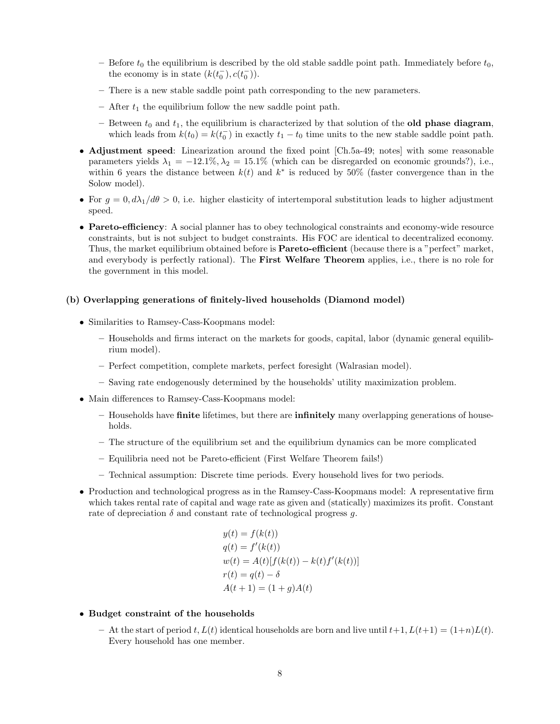- Before  $t_0$  the equilibrium is described by the old stable saddle point path. Immediately before  $t_0$ , the economy is in state  $(k(t_0^-), c(t_0^-))$ .
- There is a new stable saddle point path corresponding to the new parameters.
- After  $t_1$  the equilibrium follow the new saddle point path.
- Between  $t_0$  and  $t_1$ , the equilibrium is characterized by that solution of the **old phase diagram**, which leads from  $k(t_0) = k(t_0^-)$  in exactly  $t_1 - t_0$  time units to the new stable saddle point path.
- Adjustment speed: Linearization around the fixed point [Ch.5a-49; notes] with some reasonable parameters yields  $\lambda_1 = -12.1\%, \lambda_2 = 15.1\%$  (which can be disregarded on economic grounds?), i.e., within 6 years the distance between  $k(t)$  and  $k^*$  is reduced by 50% (faster convergence than in the Solow model).
- For  $g = 0, d\lambda_1/d\theta > 0$ , i.e. higher elasticity of intertemporal substitution leads to higher adjustment speed.
- Pareto-efficiency: A social planner has to obey technological constraints and economy-wide resource constraints, but is not subject to budget constraints. His FOC are identical to decentralized economy. Thus, the market equilibrium obtained before is **Pareto-efficient** (because there is a "perfect" market, and everybody is perfectly rational). The First Welfare Theorem applies, i.e., there is no role for the government in this model.

### (b) Overlapping generations of finitely-lived households (Diamond model)

- Similarities to Ramsey-Cass-Koopmans model:
	- Households and firms interact on the markets for goods, capital, labor (dynamic general equilibrium model).
	- Perfect competition, complete markets, perfect foresight (Walrasian model).
	- Saving rate endogenously determined by the households' utility maximization problem.
- Main differences to Ramsey-Cass-Koopmans model:
	- Households have finite lifetimes, but there are infinitely many overlapping generations of households.
	- The structure of the equilibrium set and the equilibrium dynamics can be more complicated
	- Equilibria need not be Pareto-efficient (First Welfare Theorem fails!)
	- Technical assumption: Discrete time periods. Every household lives for two periods.
- Production and technological progress as in the Ramsey-Cass-Koopmans model: A representative firm which takes rental rate of capital and wage rate as given and (statically) maximizes its profit. Constant rate of depreciation  $\delta$  and constant rate of technological progress g.

$$
y(t) = f(k(t))
$$
  
\n
$$
q(t) = f'(k(t))
$$
  
\n
$$
w(t) = A(t)[f(k(t)) - k(t)f'(k(t))]
$$
  
\n
$$
r(t) = q(t) - \delta
$$
  
\n
$$
A(t+1) = (1+g)A(t)
$$

- Budget constraint of the households
	- At the start of period t,  $L(t)$  identical households are born and live until  $t+1$ ,  $L(t+1) = (1+n)L(t)$ . Every household has one member.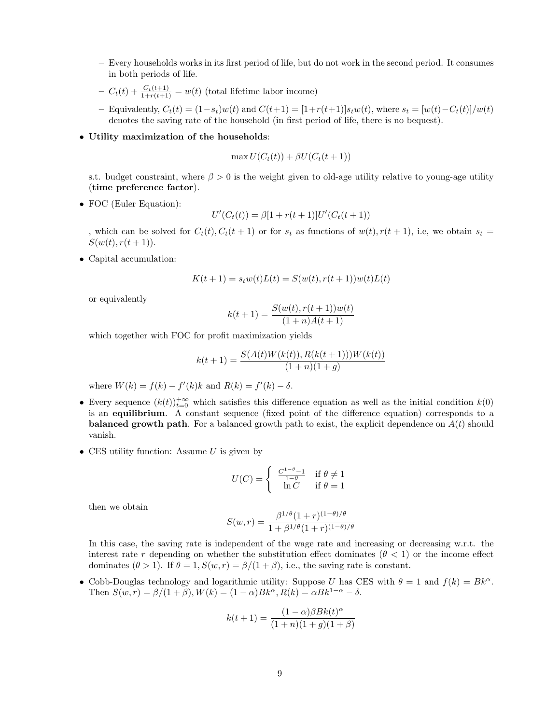- Every households works in its first period of life, but do not work in the second period. It consumes in both periods of life.
- $-C_t(t) + \frac{C_t(t+1)}{1+r(t+1)} = w(t)$  (total lifetime labor income)
- Equivalently,  $C_t(t) = (1-s_t)w(t)$  and  $C(t+1) = [1+r(t+1)]s_tw(t)$ , where  $s_t = [w(t)-C_t(t)]/w(t)$ denotes the saving rate of the household (in first period of life, there is no bequest).

### • Utility maximization of the households:

$$
\max U(C_t(t)) + \beta U(C_t(t+1))
$$

s.t. budget constraint, where  $\beta > 0$  is the weight given to old-age utility relative to young-age utility (time preference factor).

• FOC (Euler Equation):

$$
U'(C_t(t)) = \beta[1 + r(t+1)]U'(C_t(t+1))
$$

, which can be solved for  $C_t(t), C_t(t + 1)$  or for  $s_t$  as functions of  $w(t), r(t + 1)$ , i.e, we obtain  $s_t =$  $S(w(t), r(t+1)).$ 

• Capital accumulation:

$$
K(t + 1) = s_t w(t) L(t) = S(w(t), r(t + 1)) w(t) L(t)
$$

or equivalently

$$
k(t+1) = \frac{S(w(t), r(t+1))w(t)}{(1+n)A(t+1)}
$$

which together with FOC for profit maximization yields

$$
k(t+1) = \frac{S(A(t)W(k(t)), R(k(t+1)))W(k(t))}{(1+n)(1+g)}
$$

where  $W(k) = f(k) - f'(k)k$  and  $R(k) = f'(k) - \delta$ .

- Every sequence  $(k(t))_{t=0}^{+\infty}$  which satisfies this difference equation as well as the initial condition  $k(0)$ is an equilibrium. A constant sequence (fixed point of the difference equation) corresponds to a **balanced growth path.** For a balanced growth path to exist, the explicit dependence on  $A(t)$  should vanish.
- CES utility function: Assume  $U$  is given by

$$
U(C) = \begin{cases} \frac{C^{1-\theta}-1}{1-\theta} & \text{if } \theta \neq 1\\ \ln C & \text{if } \theta = 1 \end{cases}
$$

then we obtain

$$
S(w,r) = \frac{\beta^{1/\theta} (1+r)^{(1-\theta)/\theta}}{1 + \beta^{1/\theta} (1+r)^{(1-\theta)/\theta}}
$$

In this case, the saving rate is independent of the wage rate and increasing or decreasing w.r.t. the interest rate r depending on whether the substitution effect dominates ( $\theta$  < 1) or the income effect dominates  $(\theta > 1)$ . If  $\theta = 1$ ,  $S(w, r) = \beta/(1 + \beta)$ , i.e., the saving rate is constant.

• Cobb-Douglas technology and logarithmic utility: Suppose U has CES with  $\theta = 1$  and  $f(k) = Bk^{\alpha}$ . Then  $S(w, r) = \beta/(1 + \beta), W(k) = (1 - \alpha)Bk^{\alpha}, R(k) = \alpha Bk^{1-\alpha} - \delta.$ 

$$
k(t+1) = \frac{(1-\alpha)\beta B k(t)^{\alpha}}{(1+n)(1+g)(1+\beta)}
$$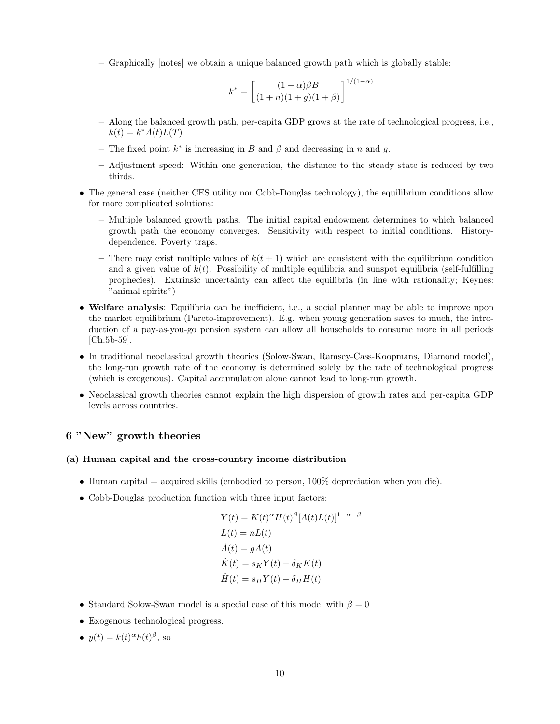– Graphically [notes] we obtain a unique balanced growth path which is globally stable:

$$
k^* = \left[ \frac{(1-\alpha)\beta B}{(1+n)(1+g)(1+\beta)} \right]^{1/(1-\alpha)}
$$

- Along the balanced growth path, per-capita GDP grows at the rate of technological progress, i.e.,  $k(t) = k^* A(t) L(T)$
- The fixed point  $k^*$  is increasing in B and  $\beta$  and decreasing in n and g.
- Adjustment speed: Within one generation, the distance to the steady state is reduced by two thirds.
- The general case (neither CES utility nor Cobb-Douglas technology), the equilibrium conditions allow for more complicated solutions:
	- Multiple balanced growth paths. The initial capital endowment determines to which balanced growth path the economy converges. Sensitivity with respect to initial conditions. Historydependence. Poverty traps.
	- There may exist multiple values of  $k(t + 1)$  which are consistent with the equilibrium condition and a given value of  $k(t)$ . Possibility of multiple equilibria and sunspot equilibria (self-fulfilling prophecies). Extrinsic uncertainty can affect the equilibria (in line with rationality; Keynes: "animal spirits")
- Welfare analysis: Equilibria can be inefficient, i.e., a social planner may be able to improve upon the market equilibrium (Pareto-improvement). E.g. when young generation saves to much, the introduction of a pay-as-you-go pension system can allow all households to consume more in all periods [Ch.5b-59].
- In traditional neoclassical growth theories (Solow-Swan, Ramsey-Cass-Koopmans, Diamond model), the long-run growth rate of the economy is determined solely by the rate of technological progress (which is exogenous). Capital accumulation alone cannot lead to long-run growth.
- Neoclassical growth theories cannot explain the high dispersion of growth rates and per-capita GDP levels across countries.

# 6 "New" growth theories

#### (a) Human capital and the cross-country income distribution

- Human capital  $=$  acquired skills (embodied to person, 100% depreciation when you die).
- Cobb-Douglas production function with three input factors:

$$
Y(t) = K(t)^{\alpha} H(t)^{\beta} [A(t)L(t)]^{1-\alpha-\beta}
$$
  
\n
$$
\dot{L}(t) = nL(t)
$$
  
\n
$$
\dot{A}(t) = gA(t)
$$
  
\n
$$
\dot{K}(t) = s_K Y(t) - \delta_K K(t)
$$
  
\n
$$
\dot{H}(t) = s_H Y(t) - \delta_H H(t)
$$

- Standard Solow-Swan model is a special case of this model with  $\beta = 0$
- Exogenous technological progress.
- $y(t) = k(t)^{\alpha}h(t)^{\beta}$ , so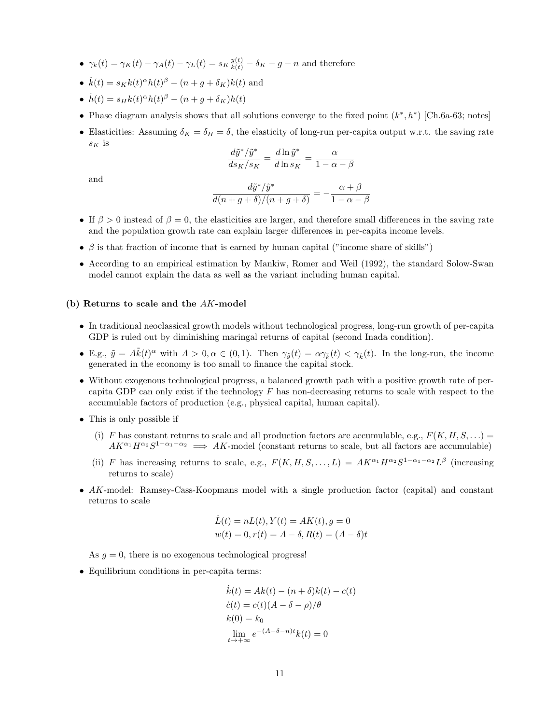- $\gamma_k(t) = \gamma_K(t) \gamma_A(t) \gamma_L(t) = s_K \frac{y(t)}{k(t)} \delta_K g n$  and therefore
- $\dot{k}(t) = s_K k(t)^\alpha h(t)^\beta (n + g + \delta_K)k(t)$  and
- $\dot{h}(t) = s_H k(t)^\alpha h(t)^\beta (n + g + \delta_K)h(t)$
- Phase diagram analysis shows that all solutions converge to the fixed point  $(k^*, h^*)$  [Ch.6a-63; notes]
- Elasticities: Assuming  $\delta_K = \delta_H = \delta$ , the elasticity of long-run per-capita output w.r.t. the saving rate  $s_K$  is

$$
\frac{d\tilde{y}^*/\tilde{y}^*}{ds_K/s_K} = \frac{d\ln \tilde{y}^*}{d\ln s_K} = \frac{\alpha}{1-\alpha-\beta}
$$

and

$$
\frac{d\tilde{y}^*/\tilde{y}^*}{d(n+g+\delta)/(n+g+\delta)} = -\frac{\alpha+\beta}{1-\alpha-\beta}
$$

- If  $\beta > 0$  instead of  $\beta = 0$ , the elasticities are larger, and therefore small differences in the saving rate and the population growth rate can explain larger differences in per-capita income levels.
- $\beta$  is that fraction of income that is earned by human capital ("income share of skills")
- According to an empirical estimation by Mankiw, Romer and Weil (1992), the standard Solow-Swan model cannot explain the data as well as the variant including human capital.

#### (b) Returns to scale and the AK-model

- In traditional neoclassical growth models without technological progress, long-run growth of per-capita GDP is ruled out by diminishing maringal returns of capital (second Inada condition).
- E.g.,  $\tilde{y} = A\tilde{k}(t)^{\alpha}$  with  $A > 0, \alpha \in (0, 1)$ . Then  $\gamma_{\tilde{y}}(t) = \alpha \gamma_{\tilde{k}}(t) < \gamma_{\tilde{k}}(t)$ . In the long-run, the income generated in the economy is too small to finance the capital stock.
- Without exogenous technological progress, a balanced growth path with a positive growth rate of percapita GDP can only exist if the technology  $F$  has non-decreasing returns to scale with respect to the accumulable factors of production (e.g., physical capital, human capital).
- This is only possible if
	- (i) F has constant returns to scale and all production factors are accumulable, e.g.,  $F(K, H, S, ...)$  $AK^{\alpha_1}H^{\alpha_2}S^{1-\alpha_1-\alpha_2} \implies AK\text{-model (constant returns to scale, but all factors are accumulate)}$
	- (ii) F has increasing returns to scale, e.g.,  $F(K, H, S, \ldots, L) = AK^{\alpha_1}H^{\alpha_2}S^{1-\alpha_1-\alpha_2}L^{\beta}$  (increasing returns to scale)
- AK-model: Ramsey-Cass-Koopmans model with a single production factor (capital) and constant returns to scale

$$
\dot{L}(t) = nL(t), Y(t) = AK(t), g = 0
$$
  

$$
w(t) = 0, r(t) = A - \delta, R(t) = (A - \delta)t
$$

As  $q = 0$ , there is no exogenous technological progress!

• Equilibrium conditions in per-capita terms:

$$
\dot{k}(t) = Ak(t) - (n+\delta)k(t) - c(t)
$$
  
\n
$$
\dot{c}(t) = c(t)(A - \delta - \rho)/\theta
$$
  
\n
$$
k(0) = k_0
$$
  
\n
$$
\lim_{t \to +\infty} e^{-(A - \delta - n)t} k(t) = 0
$$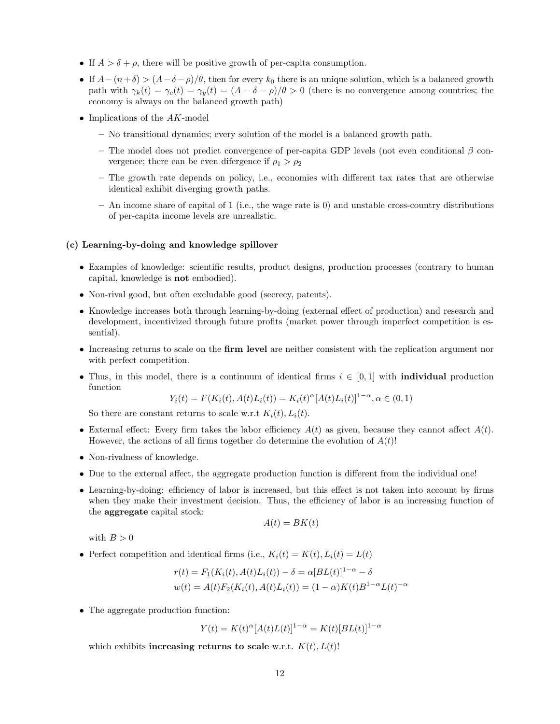- If  $A > \delta + \rho$ , there will be positive growth of per-capita consumption.
- If  $A-(n+\delta) > (A-\delta-\rho)/\theta$ , then for every  $k_0$  there is an unique solution, which is a balanced growth path with  $\gamma_k(t) = \gamma_c(t) = \gamma_y(t) = (A - \delta - \rho)/\theta > 0$  (there is no convergence among countries; the economy is always on the balanced growth path)
- Implications of the  $AK$ -model
	- No transitional dynamics; every solution of the model is a balanced growth path.
	- The model does not predict convergence of per-capita GDP levels (not even conditional  $\beta$  convergence; there can be even difergence if  $\rho_1 > \rho_2$
	- The growth rate depends on policy, i.e., economies with different tax rates that are otherwise identical exhibit diverging growth paths.
	- An income share of capital of 1 (i.e., the wage rate is 0) and unstable cross-country distributions of per-capita income levels are unrealistic.

#### (c) Learning-by-doing and knowledge spillover

- Examples of knowledge: scientific results, product designs, production processes (contrary to human capital, knowledge is not embodied).
- Non-rival good, but often excludable good (secrecy, patents).
- Knowledge increases both through learning-by-doing (external effect of production) and research and development, incentivized through future profits (market power through imperfect competition is essential).
- Increasing returns to scale on the firm level are neither consistent with the replication argument nor with perfect competition.
- Thus, in this model, there is a continuum of identical firms  $i \in [0,1]$  with **individual** production function

$$
Y_i(t) = F(K_i(t), A(t)L_i(t)) = K_i(t)^{\alpha} [A(t)L_i(t)]^{1-\alpha}, \alpha \in (0,1)
$$

So there are constant returns to scale w.r.t  $K_i(t)$ ,  $L_i(t)$ .

- External effect: Every firm takes the labor efficiency  $A(t)$  as given, because they cannot affect  $A(t)$ . However, the actions of all firms together do determine the evolution of  $A(t)$ !
- Non-rivalness of knowledge.
- Due to the external affect, the aggregate production function is different from the individual one!
- Learning-by-doing: efficiency of labor is increased, but this effect is not taken into account by firms when they make their investment decision. Thus, the efficiency of labor is an increasing function of the aggregate capital stock:

$$
A(t) = BK(t)
$$

with  $B > 0$ 

• Perfect competition and identical firms (i.e.,  $K_i(t) = K(t), L_i(t) = L(t)$ 

$$
r(t) = F_1(K_i(t), A(t)L_i(t)) - \delta = \alpha [BL(t)]^{1-\alpha} - \delta
$$
  

$$
w(t) = A(t)F_2(K_i(t), A(t)L_i(t)) = (1 - \alpha)K(t)B^{1-\alpha}L(t)^{-\alpha}
$$

• The aggregate production function:

 $Y(t) = K(t)^{\alpha} [A(t)L(t)]^{1-\alpha} = K(t)[BL(t)]^{1-\alpha}$ 

which exhibits increasing returns to scale w.r.t.  $K(t)$ ,  $L(t)$ !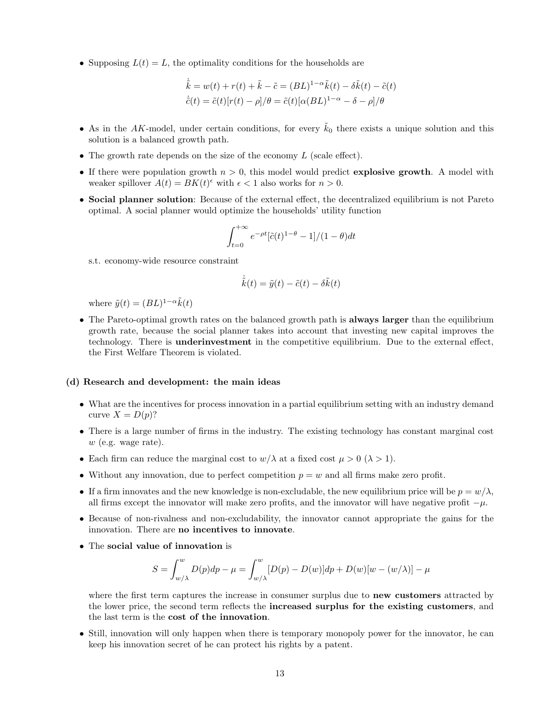• Supposing  $L(t) = L$ , the optimality conditions for the households are

$$
\dot{\tilde{k}} = w(t) + r(t) + \tilde{k} - \tilde{c} = (BL)^{1-\alpha}\tilde{k}(t) - \delta\tilde{k}(t) - \tilde{c}(t)
$$

$$
\dot{\tilde{c}}(t) = \tilde{c}(t)[r(t) - \rho]/\theta = \tilde{c}(t)[\alpha(BL)^{1-\alpha} - \delta - \rho]/\theta
$$

- As in the AK-model, under certain conditions, for every  $\tilde{k}_0$  there exists a unique solution and this solution is a balanced growth path.
- The growth rate depends on the size of the economy  $L$  (scale effect).
- If there were population growth  $n > 0$ , this model would predict explosive growth. A model with weaker spillover  $A(t) = BK(t)^{\epsilon}$  with  $\epsilon < 1$  also works for  $n > 0$ .
- Social planner solution: Because of the external effect, the decentralized equilibrium is not Pareto optimal. A social planner would optimize the households' utility function

$$
\int_{t=0}^{+\infty} e^{-\rho t} [\tilde{c}(t)^{1-\theta} - 1]/(1-\theta) dt
$$

s.t. economy-wide resource constraint

$$
\dot{\tilde{k}}(t) = \tilde{y}(t) - \tilde{c}(t) - \delta \tilde{k}(t)
$$

where  $\tilde{y}(t) = (BL)^{1-\alpha} \tilde{k}(t)$ 

• The Pareto-optimal growth rates on the balanced growth path is always larger than the equilibrium growth rate, because the social planner takes into account that investing new capital improves the technology. There is underinvestment in the competitive equilibrium. Due to the external effect, the First Welfare Theorem is violated.

#### (d) Research and development: the main ideas

- What are the incentives for process innovation in a partial equilibrium setting with an industry demand curve  $X = D(p)$ ?
- There is a large number of firms in the industry. The existing technology has constant marginal cost  $w$  (e.g. wage rate).
- Each firm can reduce the marginal cost to  $w/\lambda$  at a fixed cost  $\mu > 0$  ( $\lambda > 1$ ).
- Without any innovation, due to perfect competition  $p = w$  and all firms make zero profit.
- If a firm innovates and the new knowledge is non-excludable, the new equilibrium price will be  $p = w/\lambda$ , all firms except the innovator will make zero profits, and the innovator will have negative profit  $-\mu$ .
- Because of non-rivalness and non-excludability, the innovator cannot appropriate the gains for the innovation. There are no incentives to innovate.
- The social value of innovation is

$$
S = \int_{w/\lambda}^{w} D(p)dp - \mu = \int_{w/\lambda}^{w} [D(p) - D(w)]dp + D(w)[w - (w/\lambda)] - \mu
$$

where the first term captures the increase in consumer surplus due to **new customers** attracted by the lower price, the second term reflects the increased surplus for the existing customers, and the last term is the cost of the innovation.

• Still, innovation will only happen when there is temporary monopoly power for the innovator, he can keep his innovation secret of he can protect his rights by a patent.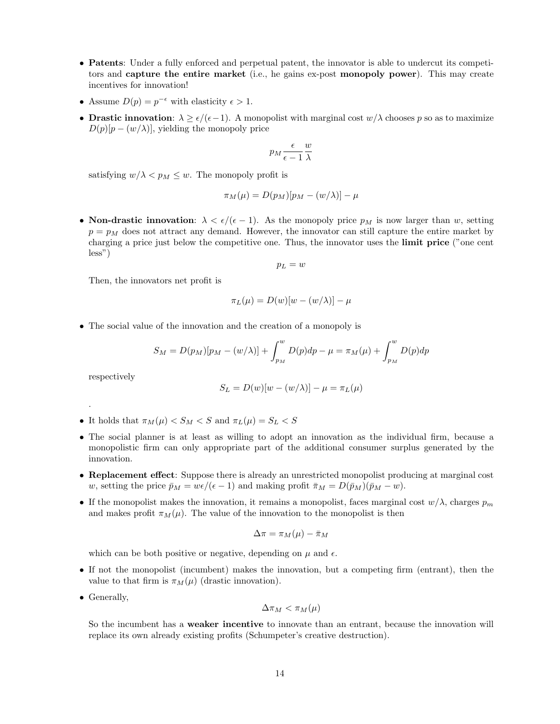- Patents: Under a fully enforced and perpetual patent, the innovator is able to undercut its competitors and capture the entire market (i.e., he gains ex-post monopoly power). This may create incentives for innovation!
- Assume  $D(p) = p^{-\epsilon}$  with elasticity  $\epsilon > 1$ .
- Drastic innovation:  $\lambda > \epsilon/(\epsilon-1)$ . A monopolist with marginal cost  $w/\lambda$  chooses p so as to maximize  $D(p)[p - (w/\lambda)]$ , yielding the monopoly price

$$
p_M \frac{\epsilon}{\epsilon - 1} \frac{w}{\lambda}
$$

satisfying  $w/\lambda < p_M \leq w$ . The monopoly profit is

$$
\pi_M(\mu) = D(p_M)[p_M - (w/\lambda)] - \mu
$$

• Non-drastic innovation:  $\lambda < \epsilon/(\epsilon - 1)$ . As the monopoly price  $p_M$  is now larger than w, setting  $p = p<sub>M</sub>$  does not attract any demand. However, the innovator can still capture the entire market by charging a price just below the competitive one. Thus, the innovator uses the limit price ("one cent less")

$$
p_L=w
$$

Then, the innovators net profit is

$$
\pi_L(\mu) = D(w)[w - (w/\lambda)] - \mu
$$

• The social value of the innovation and the creation of a monopoly is

$$
S_M = D(p_M)[p_M - (w/\lambda)] + \int_{p_M}^{w} D(p)dp - \mu = \pi_M(\mu) + \int_{p_M}^{w} D(p)dp
$$

respectively

.

$$
S_L = D(w)[w - (w/\lambda)] - \mu = \pi_L(\mu)
$$

- It holds that  $\pi_M(\mu) < S_M < S$  and  $\pi_L(\mu) = S_L < S$
- The social planner is at least as willing to adopt an innovation as the individual firm, because a monopolistic firm can only appropriate part of the additional consumer surplus generated by the innovation.
- Replacement effect: Suppose there is already an unrestricted monopolist producing at marginal cost w, setting the price  $\bar{p}_M = w\epsilon/(\epsilon - 1)$  and making profit  $\bar{\pi}_M = D(\bar{p}_M)(\bar{p}_M - w)$ .
- If the monopolist makes the innovation, it remains a monopolist, faces marginal cost  $w/\lambda$ , charges  $p_m$ and makes profit  $\pi_M(\mu)$ . The value of the innovation to the monopolist is then

$$
\Delta \pi = \pi_M(\mu) - \bar{\pi}_M
$$

which can be both positive or negative, depending on  $\mu$  and  $\epsilon$ .

- If not the monopolist (incumbent) makes the innovation, but a competing firm (entrant), then the value to that firm is  $\pi_M(\mu)$  (drastic innovation).
- Generally,

$$
\Delta \pi_M < \pi_M(\mu)
$$

So the incumbent has a weaker incentive to innovate than an entrant, because the innovation will replace its own already existing profits (Schumpeter's creative destruction).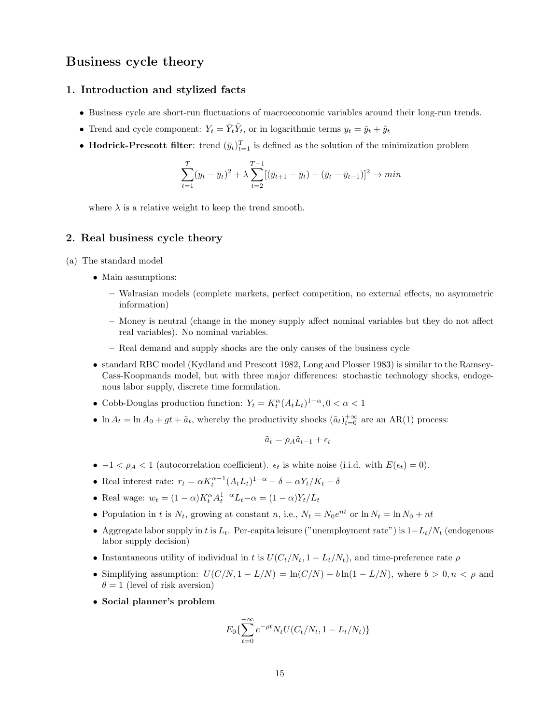# Business cycle theory

# 1. Introduction and stylized facts

- Business cycle are short-run fluctuations of macroeconomic variables around their long-run trends.
- Trend and cycle component:  $Y_t = \overline{Y}_t \tilde{Y}_t$ , or in logarithmic terms  $y_t = \overline{y}_t + \tilde{y}_t$
- Hodrick-Prescott filter: trend  $(\bar{y}_t)_{t=1}^T$  is defined as the solution of the minimization problem

$$
\sum_{t=1}^{T} (y_t - \bar{y}_t)^2 + \lambda \sum_{t=2}^{T-1} [(\bar{y}_{t+1} - \bar{y}_t) - (\bar{y}_t - \bar{y}_{t-1})]^2 \to \min
$$

where  $\lambda$  is a relative weight to keep the trend smooth.

### 2. Real business cycle theory

- (a) The standard model
	- Main assumptions:
		- Walrasian models (complete markets, perfect competition, no external effects, no asymmetric information)
		- Money is neutral (change in the money supply affect nominal variables but they do not affect real variables). No nominal variables.
		- Real demand and supply shocks are the only causes of the business cycle
	- standard RBC model (Kydland and Prescott 1982, Long and Plosser 1983) is similar to the Ramsey-Cass-Koopmands model, but with three major differences: stochastic technology shocks, endogenous labor supply, discrete time formulation.
	- Cobb-Douglas production function:  $Y_t = K_t^{\alpha} (A_t L_t)^{1-\alpha}, 0 < \alpha < 1$
	- $\ln A_t = \ln A_0 + gt + \tilde{a}_t$ , whereby the productivity shocks  $(\tilde{a}_t)_{t=0}^{+\infty}$  are an AR(1) process:

$$
\tilde{a}_t = \rho_A \tilde{a}_{t-1} + \epsilon_t
$$

- $-1 < \rho_A < 1$  (autocorrelation coefficient).  $\epsilon_t$  is white noise (i.i.d. with  $E(\epsilon_t) = 0$ ).
- Real interest rate:  $r_t = \alpha K_t^{\alpha-1} (A_t L_t)^{1-\alpha} \delta = \alpha Y_t / K_t \delta$
- Real wage:  $w_t = (1 \alpha)K_t^{\alpha} A_t^{1 \alpha} L_t \alpha = (1 \alpha)Y_t/L_t$
- Population in t is  $N_t$ , growing at constant n, i.e.,  $N_t = N_0 e^{nt}$  or  $\ln N_t = \ln N_0 + nt$
- Aggregate labor supply in t is  $L_t$ . Per-capita leisure ("unemployment rate") is  $1-L_t/N_t$  (endogenous labor supply decision)
- Instantaneous utility of individual in t is  $U(C_t/N_t, 1 L_t/N_t)$ , and time-preference rate  $\rho$
- Simplifying assumption:  $U(C/N, 1 L/N) = \ln(C/N) + b \ln(1 L/N)$ , where  $b > 0, n < \rho$  and  $\theta = 1$  (level of risk aversion)
- Social planner's problem

$$
E_0\{\sum_{t=0}^{+\infty}e^{-\rho t}N_tU(C_t/N_t, 1-L_t/N_t)\}
$$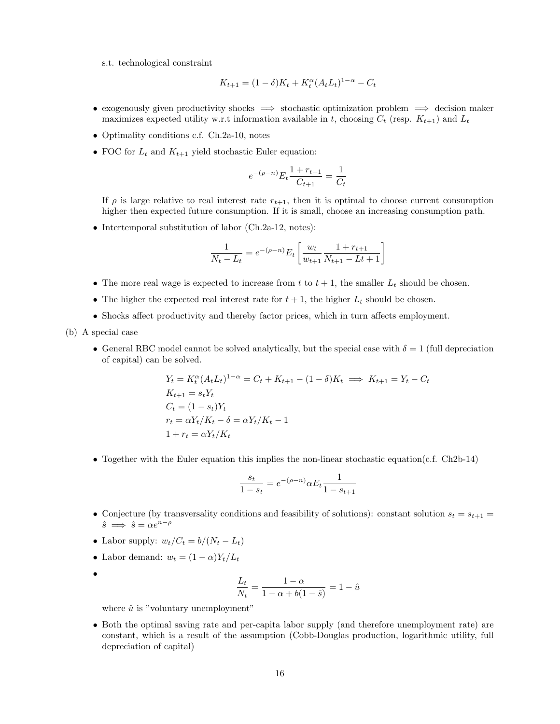s.t. technological constraint

$$
K_{t+1} = (1 - \delta)K_t + K_t^{\alpha}(A_t L_t)^{1-\alpha} - C_t
$$

- exogenously given productivity shocks  $\implies$  stochastic optimization problem  $\implies$  decision maker maximizes expected utility w.r.t information available in t, choosing  $C_t$  (resp.  $K_{t+1}$ ) and  $L_t$
- Optimality conditions c.f. Ch.2a-10, notes
- FOC for  $L_t$  and  $K_{t+1}$  yield stochastic Euler equation:

$$
e^{-(\rho - n)} E_t \frac{1 + r_{t+1}}{C_{t+1}} = \frac{1}{C_t}
$$

If  $\rho$  is large relative to real interest rate  $r_{t+1}$ , then it is optimal to choose current consumption higher then expected future consumption. If it is small, choose an increasing consumption path.

• Intertemporal substitution of labor (Ch.2a-12, notes):

$$
\frac{1}{N_t - L_t} = e^{-(\rho - n)} E_t \left[ \frac{w_t}{w_{t+1}} \frac{1 + r_{t+1}}{N_{t+1} - Lt + 1} \right]
$$

- The more real wage is expected to increase from  $t$  to  $t + 1$ , the smaller  $L_t$  should be chosen.
- The higher the expected real interest rate for  $t + 1$ , the higher  $L_t$  should be chosen.
- Shocks affect productivity and thereby factor prices, which in turn affects employment.
- (b) A special case
	- General RBC model cannot be solved analytically, but the special case with  $\delta = 1$  (full depreciation of capital) can be solved.

$$
Y_t = K_t^{\alpha} (A_t L_t)^{1-\alpha} = C_t + K_{t+1} - (1 - \delta) K_t \implies K_{t+1} = Y_t - C_t
$$
  
\n
$$
K_{t+1} = s_t Y_t
$$
  
\n
$$
C_t = (1 - s_t) Y_t
$$
  
\n
$$
r_t = \alpha Y_t / K_t - \delta = \alpha Y_t / K_t - 1
$$
  
\n
$$
1 + r_t = \alpha Y_t / K_t
$$

• Together with the Euler equation this implies the non-linear stochastic equation(c.f. Ch2b-14)

$$
\frac{s_t}{1 - s_t} = e^{-(\rho - n)} \alpha E_t \frac{1}{1 - s_{t+1}}
$$

- Conjecture (by transversality conditions and feasibility of solutions): constant solution  $s_t = s_{t+1}$  $\hat{s} \implies \hat{s} = \alpha e^{n-\rho}$
- Labor supply:  $w_t/C_t = b/(N_t L_t)$
- Labor demand:  $w_t = (1 \alpha)Y_t/L_t$
- •

$$
\frac{L_t}{N_t} = \frac{1 - \alpha}{1 - \alpha + b(1 - \hat{s})} = 1 - \hat{u}
$$

where  $\hat{u}$  is "voluntary unemployment"

• Both the optimal saving rate and per-capita labor supply (and therefore unemployment rate) are constant, which is a result of the assumption (Cobb-Douglas production, logarithmic utility, full depreciation of capital)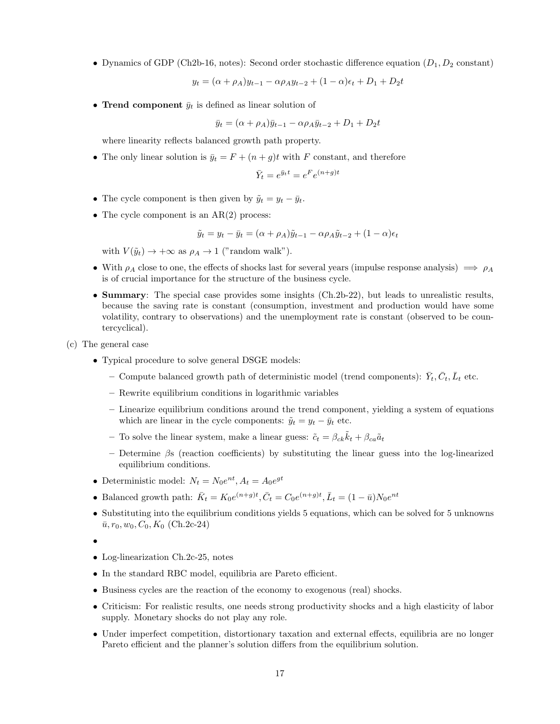• Dynamics of GDP (Ch2b-16, notes): Second order stochastic difference equation  $(D_1, D_2 \text{ constant})$ 

 $y_t = (\alpha + \rho_A)y_{t-1} - \alpha \rho_A y_{t-2} + (1 - \alpha)\epsilon_t + D_1 + D_2t$ 

• Trend component  $\bar{y}_t$  is defined as linear solution of

$$
\bar{y}_t = (\alpha + \rho_A)\bar{y}_{t-1} - \alpha \rho_A \bar{y}_{t-2} + D_1 + D_2 t
$$

where linearity reflects balanced growth path property.

• The only linear solution is  $\bar{y}_t = F + (n + g)t$  with F constant, and therefore

$$
\bar{Y}_t = e^{\bar{y}_t t} = e^F e^{(n+g)t}
$$

- The cycle component is then given by  $\tilde{y}_t = y_t \bar{y}_t$ .
- The cycle component is an  $AR(2)$  process:

$$
\tilde{y}_t = y_t - \bar{y}_t = (\alpha + \rho_A)\tilde{y}_{t-1} - \alpha \rho_A \tilde{y}_{t-2} + (1 - \alpha)\epsilon_t
$$

with  $V(\tilde{y}_t) \rightarrow +\infty$  as  $\rho_A \rightarrow 1$  ("random walk").

- With  $\rho_A$  close to one, the effects of shocks last for several years (impulse response analysis)  $\implies \rho_A$ is of crucial importance for the structure of the business cycle.
- Summary: The special case provides some insights (Ch.2b-22), but leads to unrealistic results, because the saving rate is constant (consumption, investment and production would have some volatility, contrary to observations) and the unemployment rate is constant (observed to be countercyclical).
- (c) The general case
	- Typical procedure to solve general DSGE models:
		- Compute balanced growth path of deterministic model (trend components):  $\bar{Y}_t$ ,  $\bar{C}_t$ ,  $\bar{L}_t$  etc.
		- Rewrite equilibrium conditions in logarithmic variables
		- Linearize equilibrium conditions around the trend component, yielding a system of equations which are linear in the cycle components:  $\tilde{y}_t = y_t - \bar{y}_t$  etc.
		- To solve the linear system, make a linear guess:  $\tilde{c}_t = \beta_{ck}\tilde{k}_t + \beta_{ca}\tilde{a}_t$
		- Determine  $\beta$ s (reaction coefficients) by substituting the linear guess into the log-linearized equilibrium conditions.
	- Deterministic model:  $N_t = N_0 e^{nt}$ ,  $A_t = A_0 e^{gt}$
	- Balanced growth path:  $\bar{K}_t = K_0 e^{(n+g)t}, \bar{C}_t = C_0 e^{(n+g)t}, \bar{L}_t = (1 \bar{u}) N_0 e^{nt}$
	- Substituting into the equilibrium conditions yields 5 equations, which can be solved for 5 unknowns  $\bar{u}, r_0, w_0, C_0, K_0$  (Ch.2c-24)

- Log-linearization Ch.2c-25, notes
- In the standard RBC model, equilibria are Pareto efficient.
- Business cycles are the reaction of the economy to exogenous (real) shocks.
- Criticism: For realistic results, one needs strong productivity shocks and a high elasticity of labor supply. Monetary shocks do not play any role.
- Under imperfect competition, distortionary taxation and external effects, equilibria are no longer Pareto efficient and the planner's solution differs from the equilibrium solution.

<sup>•</sup>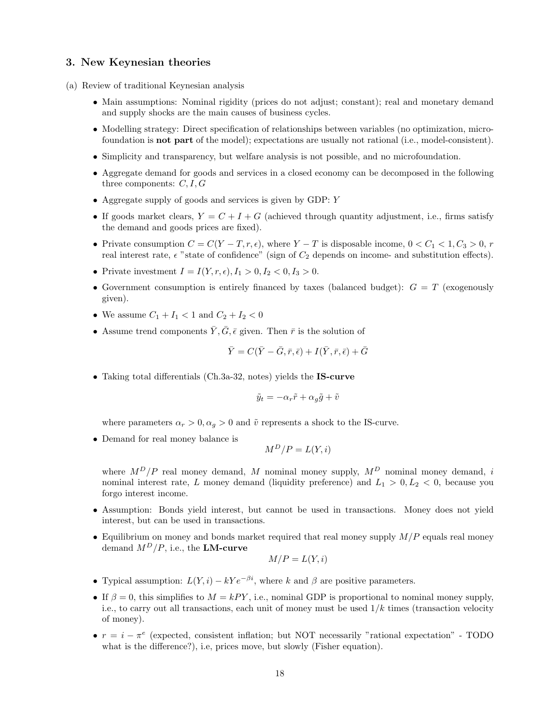### 3. New Keynesian theories

- (a) Review of traditional Keynesian analysis
	- Main assumptions: Nominal rigidity (prices do not adjust; constant); real and monetary demand and supply shocks are the main causes of business cycles.
	- Modelling strategy: Direct specification of relationships between variables (no optimization, microfoundation is not part of the model); expectations are usually not rational (i.e., model-consistent).
	- Simplicity and transparency, but welfare analysis is not possible, and no microfoundation.
	- Aggregate demand for goods and services in a closed economy can be decomposed in the following three components:  $C, I, G$
	- Aggregate supply of goods and services is given by GDP: Y
	- If goods market clears,  $Y = C + I + G$  (achieved through quantity adjustment, i.e., firms satisfy the demand and goods prices are fixed).
	- Private consumption  $C = C(Y T, r, \epsilon)$ , where Y T is disposable income,  $0 < C_1 < 1, C_3 > 0, r$ real interest rate,  $\epsilon$  "state of confidence" (sign of  $C_2$  depends on income- and substitution effects).
	- Private investment  $I = I(Y, r, \epsilon), I_1 > 0, I_2 < 0, I_3 > 0.$
	- Government consumption is entirely financed by taxes (balanced budget):  $G = T$  (exogenously given).
	- We assume  $C_1 + I_1 < 1$  and  $C_2 + I_2 < 0$
	- Assume trend components  $\overline{Y}, \overline{G}, \overline{\epsilon}$  given. Then  $\overline{r}$  is the solution of

$$
\bar{Y} = C(\bar{Y} - \bar{G}, \bar{r}, \bar{\epsilon}) + I(\bar{Y}, \bar{r}, \bar{\epsilon}) + \bar{G}
$$

• Taking total differentials (Ch.3a-32, notes) yields the IS-curve

$$
\tilde{y}_t = -\alpha_r \tilde{r} + \alpha_g \tilde{g} + \tilde{v}
$$

where parameters  $\alpha_r > 0, \alpha_q > 0$  and  $\tilde{v}$  represents a shock to the IS-curve.

• Demand for real money balance is

$$
M^D/P = L(Y, i)
$$

where  $M^D/P$  real money demand, M nominal money supply,  $M^D$  nominal money demand, i nominal interest rate, L money demand (liquidity preference) and  $L_1 > 0, L_2 < 0$ , because you forgo interest income.

- Assumption: Bonds yield interest, but cannot be used in transactions. Money does not yield interest, but can be used in transactions.
- Equilibrium on money and bonds market required that real money supply  $M/P$  equals real money demand  $M^D/P$ , i.e., the **LM-curve**

$$
M/P = L(Y, i)
$$

- Typical assumption:  $L(Y, i) kYe^{-\beta i}$ , where k and  $\beta$  are positive parameters.
- If  $\beta = 0$ , this simplifies to  $M = kPY$ , i.e., nominal GDP is proportional to nominal money supply, i.e., to carry out all transactions, each unit of money must be used  $1/k$  times (transaction velocity of money).
- $r = i \pi^e$  (expected, consistent inflation; but NOT necessarily "rational expectation" TODO what is the difference?), i.e, prices move, but slowly (Fisher equation).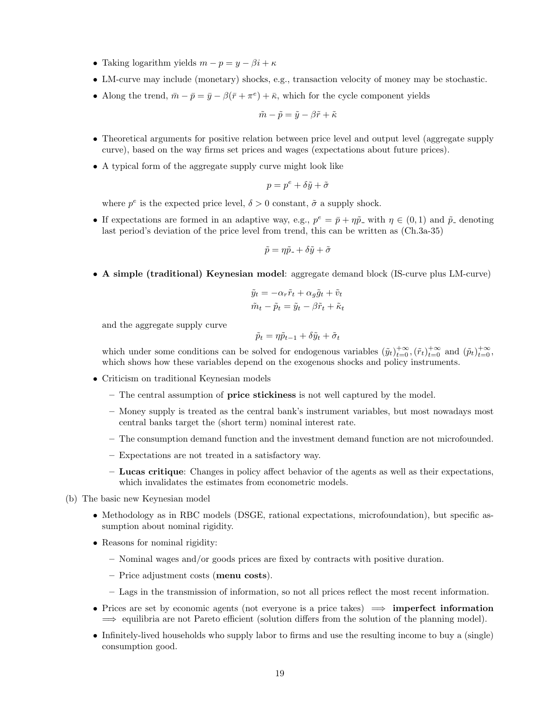- Taking logarithm yields  $m p = y \beta i + \kappa$
- LM-curve may include (monetary) shocks, e.g., transaction velocity of money may be stochastic.
- Along the trend,  $\bar{m} \bar{p} = \bar{y} \beta(\bar{r} + \pi^e) + \bar{\kappa}$ , which for the cycle component yields

$$
\tilde{m}-\tilde{p}=\tilde{y}-\beta\tilde{r}+\tilde{\kappa}
$$

- Theoretical arguments for positive relation between price level and output level (aggregate supply curve), based on the way firms set prices and wages (expectations about future prices).
- A typical form of the aggregate supply curve might look like

$$
p = p^e + \delta \tilde{y} + \tilde{\sigma}
$$

where  $p^e$  is the expected price level,  $\delta > 0$  constant,  $\tilde{\sigma}$  a supply shock.

• If expectations are formed in an adaptive way, e.g.,  $p^e = \bar{p} + \eta \tilde{p}$  with  $\eta \in (0,1)$  and  $\tilde{p}$  denoting last period's deviation of the price level from trend, this can be written as (Ch.3a-35)

$$
\tilde{p} = \eta \tilde{p}_- + \delta \tilde{y} + \tilde{\sigma}
$$

• A simple (traditional) Keynesian model: aggregate demand block (IS-curve plus LM-curve)

$$
\tilde{y}_t = -\alpha_r \tilde{r}_t + \alpha_g \tilde{g}_t + \tilde{v}_t
$$

$$
\tilde{m}_t - \tilde{p}_t = \tilde{y}_t - \beta \tilde{r}_t + \tilde{\kappa}_t
$$

and the aggregate supply curve

$$
\tilde{p}_t = \eta \tilde{p}_{t-1} + \delta \tilde{y}_t + \tilde{\sigma}_t
$$

which under some conditions can be solved for endogenous variables  $(\tilde{y}_t)_{t=0}^{+\infty}, (\tilde{r}_t)_{t=0}^{+\infty}$  and  $(\tilde{p}_t)_{t=0}^{+\infty}$ , which shows how these variables depend on the exogenous shocks and policy instruments.

- Criticism on traditional Keynesian models
	- The central assumption of price stickiness is not well captured by the model.
	- Money supply is treated as the central bank's instrument variables, but most nowadays most central banks target the (short term) nominal interest rate.
	- The consumption demand function and the investment demand function are not microfounded.
	- Expectations are not treated in a satisfactory way.
	- Lucas critique: Changes in policy affect behavior of the agents as well as their expectations, which invalidates the estimates from econometric models.

(b) The basic new Keynesian model

- Methodology as in RBC models (DSGE, rational expectations, microfoundation), but specific assumption about nominal rigidity.
- Reasons for nominal rigidity:
	- Nominal wages and/or goods prices are fixed by contracts with positive duration.
	- Price adjustment costs (menu costs).
	- Lags in the transmission of information, so not all prices reflect the most recent information.
- Prices are set by economic agents (not everyone is a price takes)  $\implies$  **imperfect information**  $\implies$  equilibria are not Pareto efficient (solution differs from the solution of the planning model).
- Infinitely-lived households who supply labor to firms and use the resulting income to buy a (single) consumption good.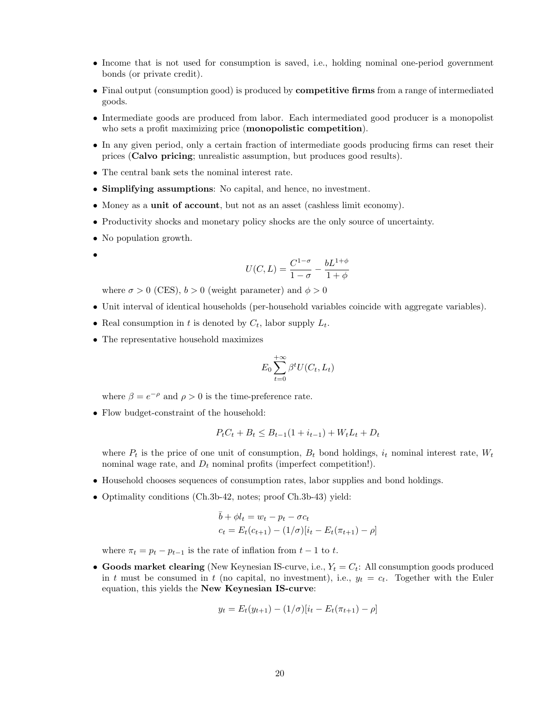- Income that is not used for consumption is saved, i.e., holding nominal one-period government bonds (or private credit).
- Final output (consumption good) is produced by **competitive firms** from a range of intermediated goods.
- Intermediate goods are produced from labor. Each intermediated good producer is a monopolist who sets a profit maximizing price (**monopolistic competition**).
- In any given period, only a certain fraction of intermediate goods producing firms can reset their prices (Calvo pricing; unrealistic assumption, but produces good results).
- The central bank sets the nominal interest rate.
- Simplifying assumptions: No capital, and hence, no investment.
- Money as a unit of account, but not as an asset (cashless limit economy).
- Productivity shocks and monetary policy shocks are the only source of uncertainty.
- No population growth.
- •

$$
U(C,L) = \frac{C^{1-\sigma}}{1-\sigma} - \frac{bL^{1+\phi}}{1+\phi}
$$

where  $\sigma > 0$  (CES),  $b > 0$  (weight parameter) and  $\phi > 0$ 

- Unit interval of identical households (per-household variables coincide with aggregate variables).
- Real consumption in t is denoted by  $C_t$ , labor supply  $L_t$ .
- The representative household maximizes

$$
E_0 \sum_{t=0}^{+\infty} \beta^t U(C_t, L_t)
$$

where  $\beta = e^{-\rho}$  and  $\rho > 0$  is the time-preference rate.

• Flow budget-constraint of the household:

$$
P_t C_t + B_t \le B_{t-1} (1 + i_{t-1}) + W_t L_t + D_t
$$

where  $P_t$  is the price of one unit of consumption,  $B_t$  bond holdings,  $i_t$  nominal interest rate,  $W_t$ nominal wage rate, and  $D_t$  nominal profits (imperfect competition!).

- Household chooses sequences of consumption rates, labor supplies and bond holdings.
- Optimality conditions (Ch.3b-42, notes; proof Ch.3b-43) yield:

$$
\bar{b} + \phi l_t = w_t - p_t - \sigma c_t
$$
  

$$
c_t = E_t(c_{t+1}) - (1/\sigma)[i_t - E_t(\pi_{t+1}) - \rho]
$$

where  $\pi_t = p_t - p_{t-1}$  is the rate of inflation from  $t - 1$  to t.

• Goods market clearing (New Keynesian IS-curve, i.e.,  $Y_t = C_t$ : All consumption goods produced in t must be consumed in t (no capital, no investment), i.e.,  $y_t = c_t$ . Together with the Euler equation, this yields the New Keynesian IS-curve:

$$
y_t = E_t(y_{t+1}) - (1/\sigma)[i_t - E_t(\pi_{t+1}) - \rho]
$$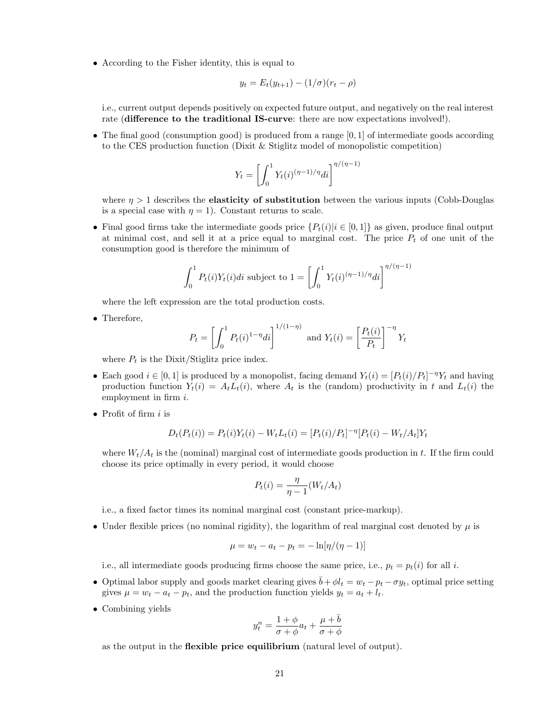• According to the Fisher identity, this is equal to

$$
y_t = E_t(y_{t+1}) - (1/\sigma)(r_t - \rho)
$$

i.e., current output depends positively on expected future output, and negatively on the real interest rate (difference to the traditional IS-curve: there are now expectations involved!).

• The final good (consumption good) is produced from a range  $[0, 1]$  of intermediate goods according to the CES production function (Dixit & Stiglitz model of monopolistic competition)

$$
Y_t = \left[ \int_0^1 Y_t(i)^{(\eta - 1)/\eta} di \right]^{\eta/(\eta - 1)}
$$

where  $\eta > 1$  describes the **elasticity of substitution** between the various inputs (Cobb-Douglas is a special case with  $\eta = 1$ ). Constant returns to scale.

• Final good firms take the intermediate goods price  $\{P_t(i)|i \in [0,1]\}$  as given, produce final output at minimal cost, and sell it at a price equal to marginal cost. The price  $P_t$  of one unit of the consumption good is therefore the minimum of

$$
\int_0^1 P_t(i)Y_t(i)di \text{ subject to } 1 = \left[ \int_0^1 Y_t(i)^{(\eta - 1)/\eta} di \right]^{\eta/(\eta - 1)}
$$

where the left expression are the total production costs.

• Therefore,

$$
P_t = \left[\int_0^1 P_t(i)^{1-\eta} di\right]^{1/(1-\eta)} \text{ and } Y_t(i) = \left[\frac{P_t(i)}{P_t}\right]^{-\eta} Y_t
$$

where  $P_t$  is the Dixit/Stiglitz price index.

- Each good  $i \in [0,1]$  is produced by a monopolist, facing demand  $Y_t(i) = [P_t(i)/P_t]^{-\eta} Y_t$  and having production function  $Y_t(i) = A_t L_t(i)$ , where  $A_t$  is the (random) productivity in t and  $L_t(i)$  the employment in firm i.
- Profit of firm  $i$  is

$$
D_t(P_t(i)) = P_t(i)Y_t(i) - W_t L_t(i) = [P_t(i)/P_t]^{-\eta} [P_t(i) - W_t/A_t]Y_t
$$

where  $W_t/A_t$  is the (nominal) marginal cost of intermediate goods production in t. If the firm could choose its price optimally in every period, it would choose

$$
P_t(i) = \frac{\eta}{\eta - 1}(W_t/A_t)
$$

i.e., a fixed factor times its nominal marginal cost (constant price-markup).

• Under flexible prices (no nominal rigidity), the logarithm of real marginal cost denoted by  $\mu$  is

$$
\mu = w_t - a_t - p_t = -\ln[\eta/(\eta - 1)]
$$

i.e., all intermediate goods producing firms choose the same price, i.e.,  $p_t = p_t(i)$  for all i.

- Optimal labor supply and goods market clearing gives  $\bar{b} + \phi l_t = w_t p_t \sigma y_t$ , optimal price setting gives  $\mu = w_t - a_t - p_t$ , and the production function yields  $y_t = a_t + l_t$ .
- Combining yields

$$
y_t^n = \frac{1+\phi}{\sigma+\phi}a_t + \frac{\mu+\bar{b}}{\sigma+\phi}
$$

as the output in the flexible price equilibrium (natural level of output).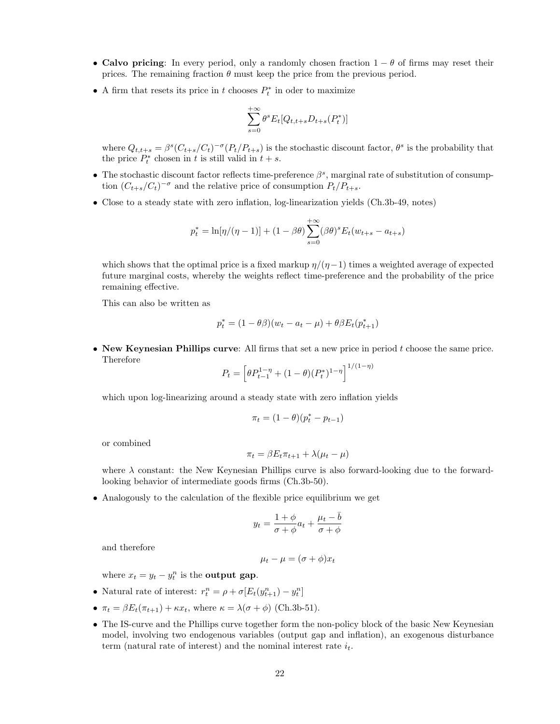- Calvo pricing: In every period, only a randomly chosen fraction  $1 \theta$  of firms may reset their prices. The remaining fraction  $\theta$  must keep the price from the previous period.
- A firm that resets its price in  $t$  chooses  $P_t^*$  in oder to maximize

$$
\sum_{s=0}^{+\infty} \theta^s E_t[Q_{t,t+s}D_{t+s}(P_t^*)]
$$

where  $Q_{t,t+s} = \beta^{s} (C_{t+s}/C_t)^{-\sigma} (P_t/P_{t+s})$  is the stochastic discount factor,  $\theta^{s}$  is the probability that the price  $P_t^*$  chosen in t is still valid in  $t + s$ .

- The stochastic discount factor reflects time-preference  $\beta^s$ , marginal rate of substitution of consumption  $(C_{t+s}/C_t)^{-\sigma}$  and the relative price of consumption  $P_t/P_{t+s}$ .
- Close to a steady state with zero inflation, log-linearization yields (Ch.3b-49, notes)

$$
p_t^* = \ln[\eta/(\eta - 1)] + (1 - \beta \theta) \sum_{s=0}^{+\infty} (\beta \theta)^s E_t(w_{t+s} - a_{t+s})
$$

which shows that the optimal price is a fixed markup  $\eta/(\eta-1)$  times a weighted average of expected future marginal costs, whereby the weights reflect time-preference and the probability of the price remaining effective.

This can also be written as

$$
p_t^* = (1 - \theta \beta)(w_t - a_t - \mu) + \theta \beta E_t(p_{t+1}^*)
$$

• New Keynesian Phillips curve: All firms that set a new price in period  $t$  choose the same price. Therefore

$$
P_t = \left[\theta P_{t-1}^{1-\eta} + (1-\theta)(P_t^*)^{1-\eta}\right]^{1/(1-\eta)}
$$

which upon log-linearizing around a steady state with zero inflation yields

$$
\pi_t = (1-\theta)(p_t^* - p_{t-1})
$$

or combined

$$
\pi_t = \beta E_t \pi_{t+1} + \lambda (\mu_t - \mu)
$$

where  $\lambda$  constant: the New Keynesian Phillips curve is also forward-looking due to the forwardlooking behavior of intermediate goods firms (Ch.3b-50).

• Analogously to the calculation of the flexible price equilibrium we get

$$
y_t = \frac{1+\phi}{\sigma+\phi}a_t + \frac{\mu_t - \bar{b}}{\sigma+\phi}
$$

and therefore

$$
\mu_t - \mu = (\sigma + \phi)x_t
$$

where  $x_t = y_t - y_t^n$  is the **output gap**.

- Natural rate of interest:  $r_t^n = \rho + \sigma[E_t(y_{t+1}^n) y_t^n]$
- $\pi_t = \beta E_t(\pi_{t+1}) + \kappa x_t$ , where  $\kappa = \lambda(\sigma + \phi)$  (Ch.3b-51).
- The IS-curve and the Phillips curve together form the non-policy block of the basic New Keynesian model, involving two endogenous variables (output gap and inflation), an exogenous disturbance term (natural rate of interest) and the nominal interest rate  $i_t$ .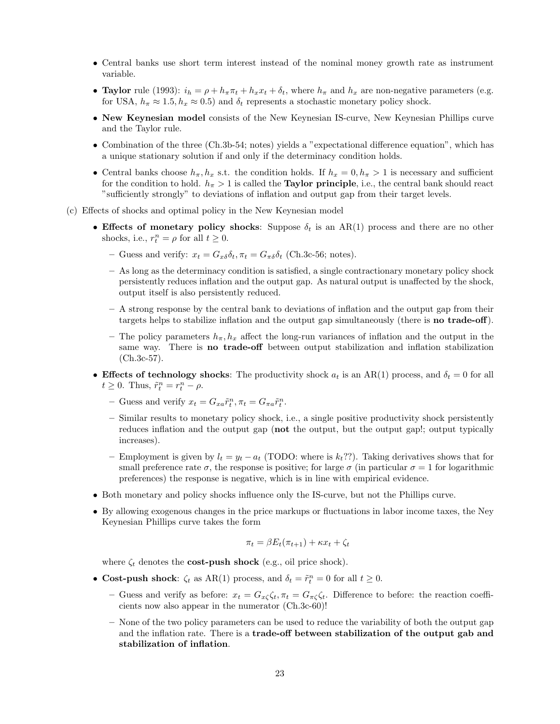- Central banks use short term interest instead of the nominal money growth rate as instrument variable.
- Taylor rule (1993):  $i_h = \rho + h_\pi \pi_t + h_x x_t + \delta_t$ , where  $h_\pi$  and  $h_x$  are non-negative parameters (e.g. for USA,  $h_{\pi} \approx 1.5$ ,  $h_x \approx 0.5$ ) and  $\delta_t$  represents a stochastic monetary policy shock.
- New Keynesian model consists of the New Keynesian IS-curve, New Keynesian Phillips curve and the Taylor rule.
- Combination of the three (Ch.3b-54; notes) yields a "expectational difference equation", which has a unique stationary solution if and only if the determinacy condition holds.
- Central banks choose  $h_{\pi}$ ,  $h_x$  s.t. the condition holds. If  $h_x = 0$ ,  $h_{\pi} > 1$  is necessary and sufficient for the condition to hold.  $h_{\pi} > 1$  is called the **Taylor principle**, i.e., the central bank should react "sufficiently strongly" to deviations of inflation and output gap from their target levels.
- (c) Effects of shocks and optimal policy in the New Keynesian model
	- Effects of monetary policy shocks: Suppose  $\delta_t$  is an AR(1) process and there are no other shocks, i.e.,  $r_t^n = \rho$  for all  $t \geq 0$ .
		- Guess and verify:  $x_t = G_{x\delta}\delta_t$ ,  $\pi_t = G_{\pi\delta}\delta_t$  (Ch.3c-56; notes).
		- As long as the determinacy condition is satisfied, a single contractionary monetary policy shock persistently reduces inflation and the output gap. As natural output is unaffected by the shock, output itself is also persistently reduced.
		- A strong response by the central bank to deviations of inflation and the output gap from their targets helps to stabilize inflation and the output gap simultaneously (there is **no trade-off**).
		- The policy parameters  $h_{\pi}$ ,  $h_x$  affect the long-run variances of inflation and the output in the same way. There is no trade-off between output stabilization and inflation stabilization (Ch.3c-57).
	- Effects of technology shocks: The productivity shock  $a_t$  is an AR(1) process, and  $\delta_t = 0$  for all  $t \geq 0$ . Thus,  $\tilde{r}_t^n = r_t^n - \rho$ .
		- Guess and verify  $x_t = G_{xa} \tilde{r}_t^n$ ,  $\pi_t = G_{\pi a} \tilde{r}_t^n$ .
		- Similar results to monetary policy shock, i.e., a single positive productivity shock persistently reduces inflation and the output gap (not the output, but the output gap!; output typically increases).
		- Employment is given by  $l_t = y_t a_t$  (TODO: where is  $k_t$ ??). Taking derivatives shows that for small preference rate  $\sigma$ , the response is positive; for large  $\sigma$  (in particular  $\sigma = 1$  for logarithmic preferences) the response is negative, which is in line with empirical evidence.
	- Both monetary and policy shocks influence only the IS-curve, but not the Phillips curve.
	- By allowing exogenous changes in the price markups or fluctuations in labor income taxes, the Ney Keynesian Phillips curve takes the form

$$
\pi_t = \beta E_t(\pi_{t+1}) + \kappa x_t + \zeta_t
$$

where  $\zeta_t$  denotes the **cost-push shock** (e.g., oil price shock).

- Cost-push shock:  $\zeta_t$  as AR(1) process, and  $\delta_t = \tilde{r}_t^n = 0$  for all  $t \ge 0$ .
	- Guess and verify as before:  $x_t = G_{\pi\zeta}\zeta_t$ ,  $\pi_t = G_{\pi\zeta}\zeta_t$ . Difference to before: the reaction coefficients now also appear in the numerator (Ch.3c-60)!
	- None of the two policy parameters can be used to reduce the variability of both the output gap and the inflation rate. There is a trade-off between stabilization of the output gab and stabilization of inflation.